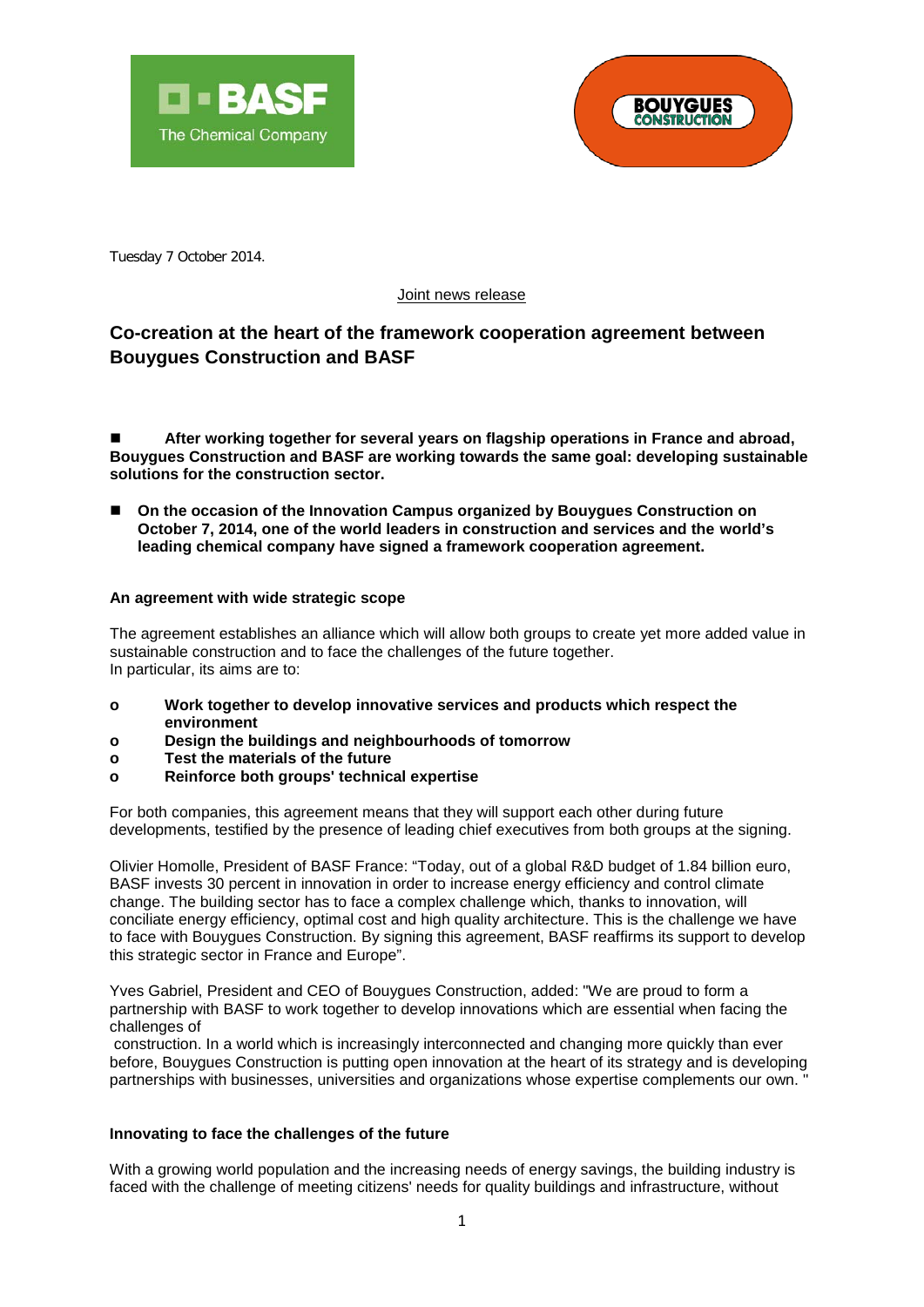



Tuesday 7 October 2014.

## Joint news release

# **Co-creation at the heart of the framework cooperation agreement between Bouygues Construction and BASF**

 $\overline{\phantom{a}}$ 

 **After working together for several years on flagship operations in France and abroad, Bouygues Construction and BASF are working towards the same goal: developing sustainable solutions for the construction sector.**

■ On the occasion of the Innovation Campus organized by Bouygues Construction on **October 7, 2014, one of the world leaders in construction and services and the world's leading chemical company have signed a framework cooperation agreement.**

## **An agreement with wide strategic scope**

The agreement establishes an alliance which will allow both groups to create yet more added value in sustainable construction and to face the challenges of the future together. In particular, its aims are to:

- **o Work together to develop innovative services and products which respect the environment**
- **o Design the buildings and neighbourhoods of tomorrow**
- **o Test the materials of the future**
- **o Reinforce both groups' technical expertise**

For both companies, this agreement means that they will support each other during future developments, testified by the presence of leading chief executives from both groups at the signing.

Olivier Homolle, President of BASF France: "Today, out of a global R&D budget of 1.84 billion euro, BASF invests 30 percent in innovation in order to increase energy efficiency and control climate change. The building sector has to face a complex challenge which, thanks to innovation, will conciliate energy efficiency, optimal cost and high quality architecture. This is the challenge we have to face with Bouygues Construction. By signing this agreement, BASF reaffirms its support to develop this strategic sector in France and Europe".

Yves Gabriel, President and CEO of Bouygues Construction, added: "We are proud to form a partnership with BASF to work together to develop innovations which are essential when facing the challenges of

construction. In a world which is increasingly interconnected and changing more quickly than ever before, Bouygues Construction is putting open innovation at the heart of its strategy and is developing partnerships with businesses, universities and organizations whose expertise complements our own. "

#### **Innovating to face the challenges of the future**

With a growing world population and the increasing needs of energy savings, the building industry is faced with the challenge of meeting citizens' needs for quality buildings and infrastructure, without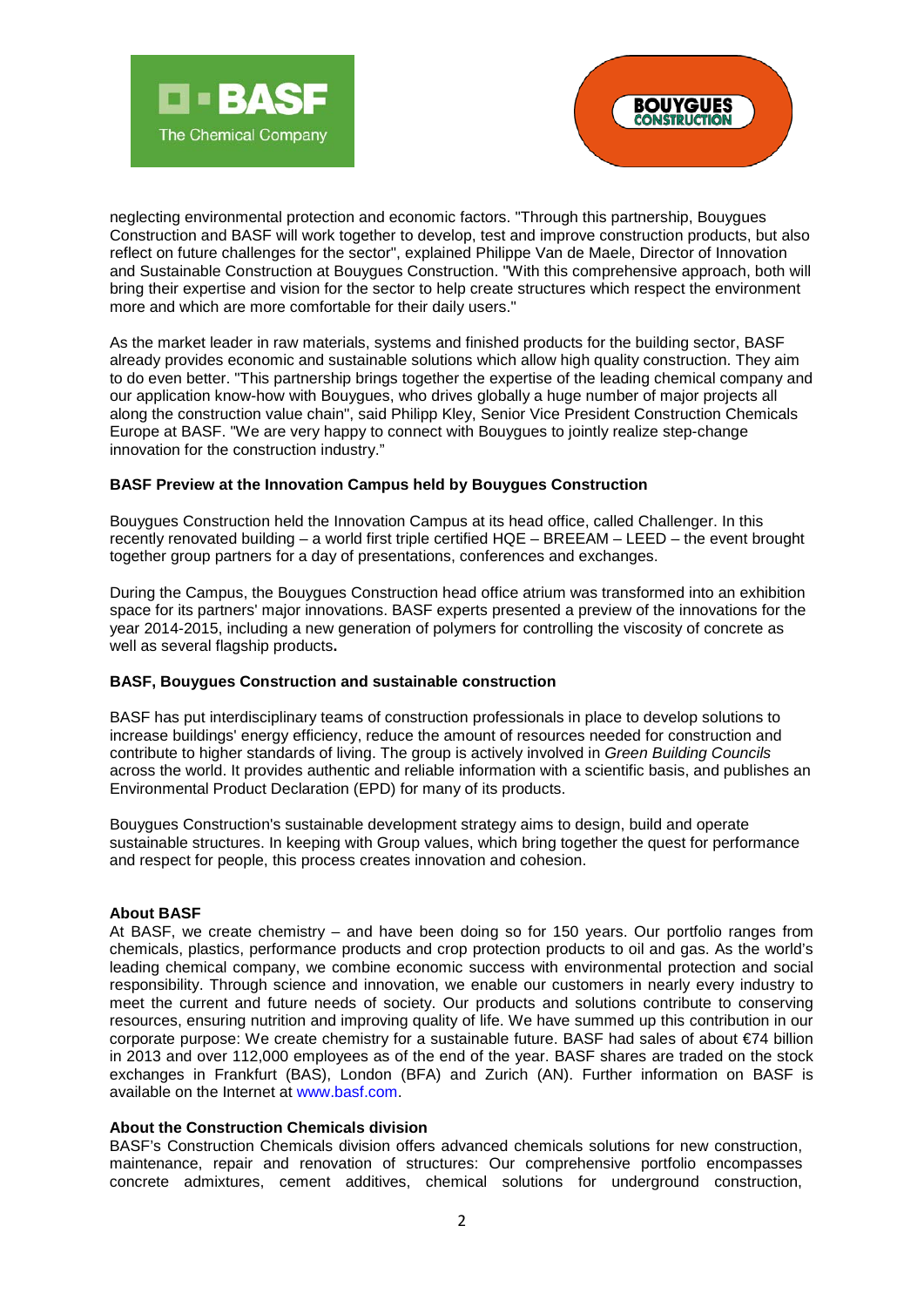



neglecting environmental protection and economic factors. "Through this partnership, Bouygues Construction and BASF will work together to develop, test and improve construction products, but also reflect on future challenges for the sector", explained Philippe Van de Maele, Director of Innovation and Sustainable Construction at Bouygues Construction. "With this comprehensive approach, both will bring their expertise and vision for the sector to help create structures which respect the environment more and which are more comfortable for their daily users."

As the market leader in raw materials, systems and finished products for the building sector, BASF already provides economic and sustainable solutions which allow high quality construction. They aim to do even better. "This partnership brings together the expertise of the leading chemical company and our application know-how with Bouygues, who drives globally a huge number of major projects all along the construction value chain", said Philipp Kley, Senior Vice President Construction Chemicals Europe at BASF. "We are very happy to connect with Bouygues to jointly realize step-change innovation for the construction industry."

# **BASF Preview at the Innovation Campus held by Bouygues Construction**

 $\overline{\phantom{a}}$ 

Bouygues Construction held the Innovation Campus at its head office, called Challenger. In this recently renovated building – a world first triple certified HQE – BREEAM – LEED – the event brought together group partners for a day of presentations, conferences and exchanges.

During the Campus, the Bouygues Construction head office atrium was transformed into an exhibition space for its partners' major innovations. BASF experts presented a preview of the innovations for the year 2014-2015, including a new generation of polymers for controlling the viscosity of concrete as well as several flagship products**.** 

#### **BASF, Bouygues Construction and sustainable construction**

BASF has put interdisciplinary teams of construction professionals in place to develop solutions to increase buildings' energy efficiency, reduce the amount of resources needed for construction and contribute to higher standards of living. The group is actively involved in *Green Building Councils*  across the world. It provides authentic and reliable information with a scientific basis, and publishes an Environmental Product Declaration (EPD) for many of its products.

Bouygues Construction's sustainable development strategy aims to design, build and operate sustainable structures. In keeping with Group values, which bring together the quest for performance and respect for people, this process creates innovation and cohesion.

#### **About BASF**

At BASF, we create chemistry – and have been doing so for 150 years. Our portfolio ranges from chemicals, plastics, performance products and crop protection products to oil and gas. As the world's leading chemical company, we combine economic success with environmental protection and social responsibility. Through science and innovation, we enable our customers in nearly every industry to meet the current and future needs of society. Our products and solutions contribute to conserving resources, ensuring nutrition and improving quality of life. We have summed up this contribution in our corporate purpose: We create chemistry for a sustainable future. BASF had sales of about €74 billion in 2013 and over 112,000 employees as of the end of the year. BASF shares are traded on the stock exchanges in Frankfurt (BAS), London (BFA) and Zurich (AN). Further information on BASF is available on the Internet at [www.basf.com.](http://www.basf.com/)

#### **About the Construction Chemicals division**

BASF's Construction Chemicals division offers advanced chemicals solutions for new construction, maintenance, repair and renovation of structures: Our comprehensive portfolio encompasses concrete admixtures, cement additives, chemical solutions for underground construction,